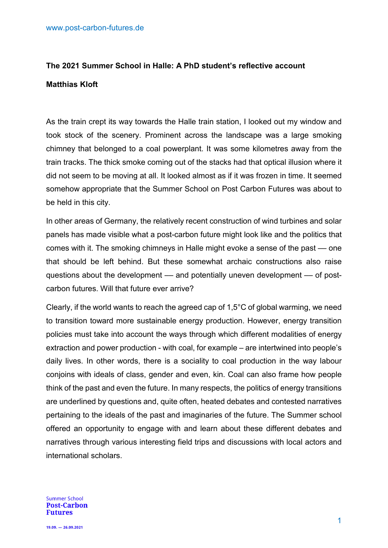# **The 2021 Summer School in Halle: A PhD student's reflective account Matthias Kloft**

As the train crept its way towards the Halle train station, I looked out my window and took stock of the scenery. Prominent across the landscape was a large smoking chimney that belonged to a coal powerplant. It was some kilometres away from the train tracks. The thick smoke coming out of the stacks had that optical illusion where it did not seem to be moving at all. It looked almost as if it was frozen in time. It seemed somehow appropriate that the Summer School on Post Carbon Futures was about to be held in this city.

In other areas of Germany, the relatively recent construction of wind turbines and solar panels has made visible what a post-carbon future might look like and the politics that comes with it. The smoking chimneys in Halle might evoke a sense of the past –– one that should be left behind. But these somewhat archaic constructions also raise questions about the development –– and potentially uneven development – of postcarbon futures. Will that future ever arrive?

Clearly, if the world wants to reach the agreed cap of 1,5°C of global warming, we need to transition toward more sustainable energy production. However, energy transition policies must take into account the ways through which different modalities of energy extraction and power production - with coal, for example – are intertwined into people's daily lives. In other words, there is a sociality to coal production in the way labour conjoins with ideals of class, gender and even, kin. Coal can also frame how people think of the past and even the future. In many respects, the politics of energy transitions are underlined by questions and, quite often, heated debates and contested narratives pertaining to the ideals of the past and imaginaries of the future. The Summer school offered an opportunity to engage with and learn about these different debates and narratives through various interesting field trips and discussions with local actors and international scholars.

**Summer School Post-Carbon Futures**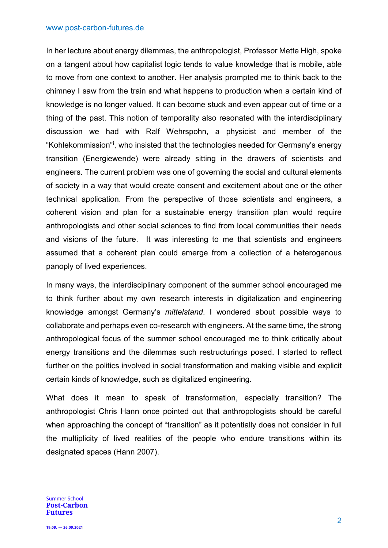## www.post-carbon-futures.de

In her lecture about energy dilemmas, the anthropologist, Professor Mette High, spoke on a tangent about how capitalist logic tends to value knowledge that is mobile, able to move from one context to another. Her analysis prompted me to think back to the chimney I saw from the train and what happens to production when a certain kind of knowledge is no longer valued. It can become stuck and even appear out of time or a thing of the past. This notion of temporality also resonated with the interdisciplinary discussion we had with Ralf Wehrspohn, a physicist and member of the "Kohlekommission"[i](#page-3-0) , who insisted that the technologies needed for Germany's energy transition (Energiewende) were already sitting in the drawers of scientists and engineers. The current problem was one of governing the social and cultural elements of society in a way that would create consent and excitement about one or the other technical application. From the perspective of those scientists and engineers, a coherent vision and plan for a sustainable energy transition plan would require anthropologists and other social sciences to find from local communities their needs and visions of the future. It was interesting to me that scientists and engineers assumed that a coherent plan could emerge from a collection of a heterogenous panoply of lived experiences.

In many ways, the interdisciplinary component of the summer school encouraged me to think further about my own research interests in digitalization and engineering knowledge amongst Germany's *mittelstand*. I wondered about possible ways to collaborate and perhaps even co-research with engineers. At the same time, the strong anthropological focus of the summer school encouraged me to think critically about energy transitions and the dilemmas such restructurings posed. I started to reflect further on the politics involved in social transformation and making visible and explicit certain kinds of knowledge, such as digitalized engineering.

What does it mean to speak of transformation, especially transition? The anthropologist Chris Hann once pointed out that anthropologists should be careful when approaching the concept of "transition" as it potentially does not consider in full the multiplicity of lived realities of the people who endure transitions within its designated spaces (Hann 2007).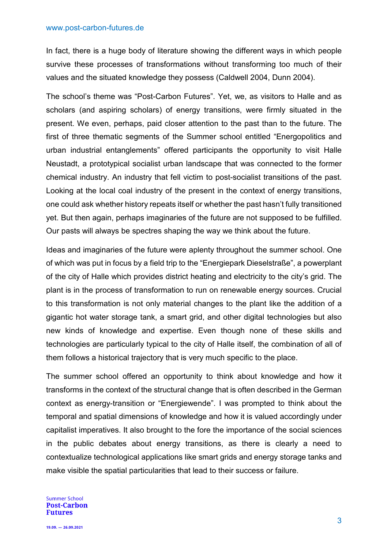## www.post-carbon-futures.de

In fact, there is a huge body of literature showing the different ways in which people survive these processes of transformations without transforming too much of their values and the situated knowledge they possess (Caldwell 2004, Dunn 2004).

The school's theme was "Post-Carbon Futures". Yet, we, as visitors to Halle and as scholars (and aspiring scholars) of energy transitions, were firmly situated in the present. We even, perhaps, paid closer attention to the past than to the future. The first of three thematic segments of the Summer school entitled "Energopolitics and urban industrial entanglements" offered participants the opportunity to visit Halle Neustadt, a prototypical socialist urban landscape that was connected to the former chemical industry. An industry that fell victim to post-socialist transitions of the past. Looking at the local coal industry of the present in the context of energy transitions, one could ask whether history repeats itself or whether the past hasn't fully transitioned yet. But then again, perhaps imaginaries of the future are not supposed to be fulfilled. Our pasts will always be spectres shaping the way we think about the future.

Ideas and imaginaries of the future were aplenty throughout the summer school. One of which was put in focus by a field trip to the "Energiepark Dieselstraße", a powerplant of the city of Halle which provides district heating and electricity to the city's grid. The plant is in the process of transformation to run on renewable energy sources. Crucial to this transformation is not only material changes to the plant like the addition of a gigantic hot water storage tank, a smart grid, and other digital technologies but also new kinds of knowledge and expertise. Even though none of these skills and technologies are particularly typical to the city of Halle itself, the combination of all of them follows a historical trajectory that is very much specific to the place.

The summer school offered an opportunity to think about knowledge and how it transforms in the context of the structural change that is often described in the German context as energy-transition or "Energiewende". I was prompted to think about the temporal and spatial dimensions of knowledge and how it is valued accordingly under capitalist imperatives. It also brought to the fore the importance of the social sciences in the public debates about energy transitions, as there is clearly a need to contextualize technological applications like smart grids and energy storage tanks and make visible the spatial particularities that lead to their success or failure.

#### **Summer School Post-Carbon Futures**